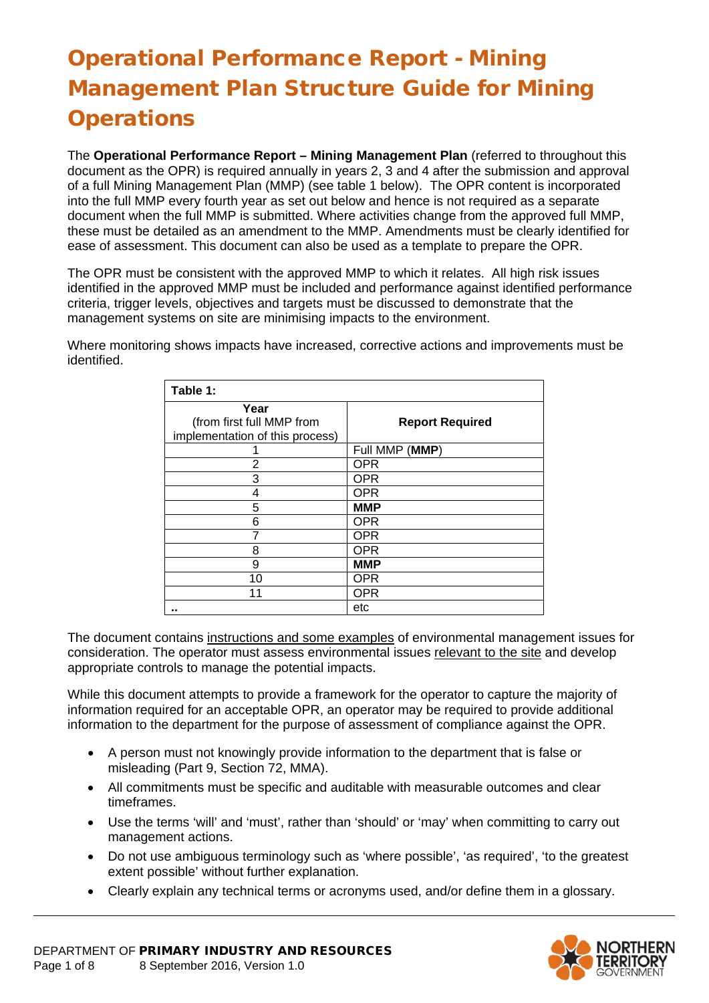# Operational Performance Report - Mining Management Plan Structure Guide for Mining **Operations**

The **Operational Performance Report – Mining Management Plan** (referred to throughout this document as the OPR) is required annually in years 2, 3 and 4 after the submission and approval of a full Mining Management Plan (MMP) (see table 1 below). The OPR content is incorporated into the full MMP every fourth year as set out below and hence is not required as a separate document when the full MMP is submitted. Where activities change from the approved full MMP, these must be detailed as an amendment to the MMP. Amendments must be clearly identified for ease of assessment. This document can also be used as a template to prepare the OPR.

The OPR must be consistent with the approved MMP to which it relates. All high risk issues identified in the approved MMP must be included and performance against identified performance criteria, trigger levels, objectives and targets must be discussed to demonstrate that the management systems on site are minimising impacts to the environment.

Where monitoring shows impacts have increased, corrective actions and improvements must be identified.

| Table 1:                                                             |                        |
|----------------------------------------------------------------------|------------------------|
| Year<br>(from first full MMP from<br>implementation of this process) | <b>Report Required</b> |
|                                                                      | Full MMP (MMP)         |
| 2                                                                    | <b>OPR</b>             |
| 3                                                                    | <b>OPR</b>             |
| 4                                                                    | <b>OPR</b>             |
| 5                                                                    | <b>MMP</b>             |
| 6                                                                    | <b>OPR</b>             |
|                                                                      | <b>OPR</b>             |
| 8                                                                    | <b>OPR</b>             |
| 9                                                                    | <b>MMP</b>             |
| 10                                                                   | <b>OPR</b>             |
| 11                                                                   | <b>OPR</b>             |
|                                                                      | etc                    |

The document contains instructions and some examples of environmental management issues for consideration. The operator must assess environmental issues relevant to the site and develop appropriate controls to manage the potential impacts.

While this document attempts to provide a framework for the operator to capture the majority of information required for an acceptable OPR, an operator may be required to provide additional information to the department for the purpose of assessment of compliance against the OPR.

- A person must not knowingly provide information to the department that is false or misleading (Part 9, Section 72, MMA).
- All commitments must be specific and auditable with measurable outcomes and clear timeframes.
- Use the terms 'will' and 'must', rather than 'should' or 'may' when committing to carry out management actions.
- Do not use ambiguous terminology such as 'where possible', 'as required', 'to the greatest extent possible' without further explanation.
- Clearly explain any technical terms or acronyms used, and/or define them in a glossary.

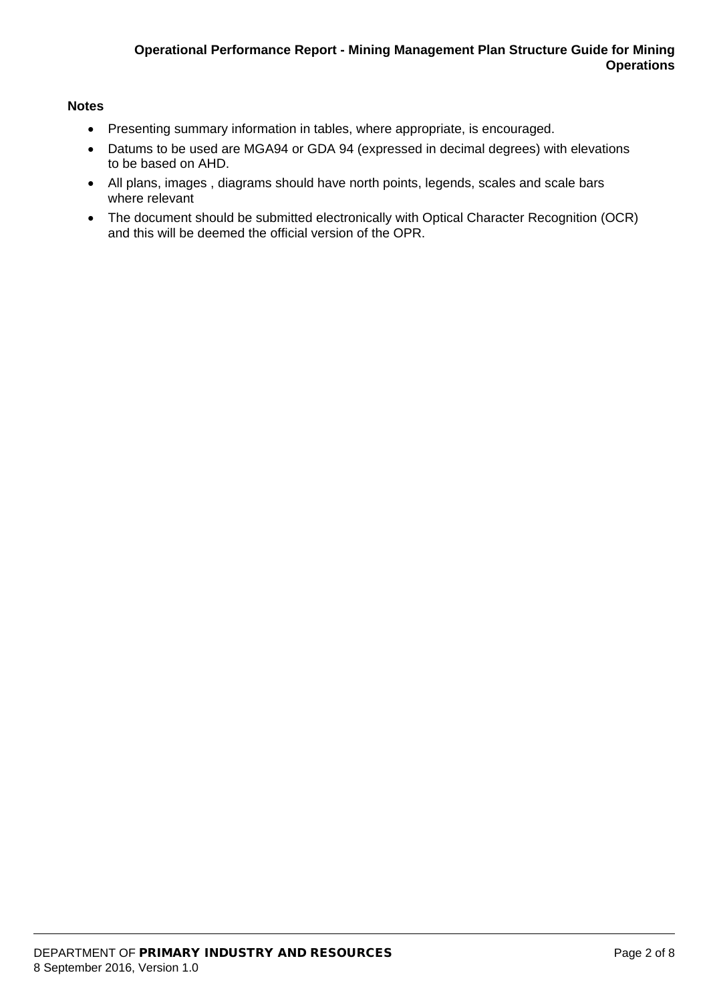#### **Notes**

- Presenting summary information in tables, where appropriate, is encouraged.
- Datums to be used are MGA94 or GDA 94 (expressed in decimal degrees) with elevations to be based on AHD.
- All plans, images , diagrams should have north points, legends, scales and scale bars where relevant
- The document should be submitted electronically with Optical Character Recognition (OCR) and this will be deemed the official version of the OPR.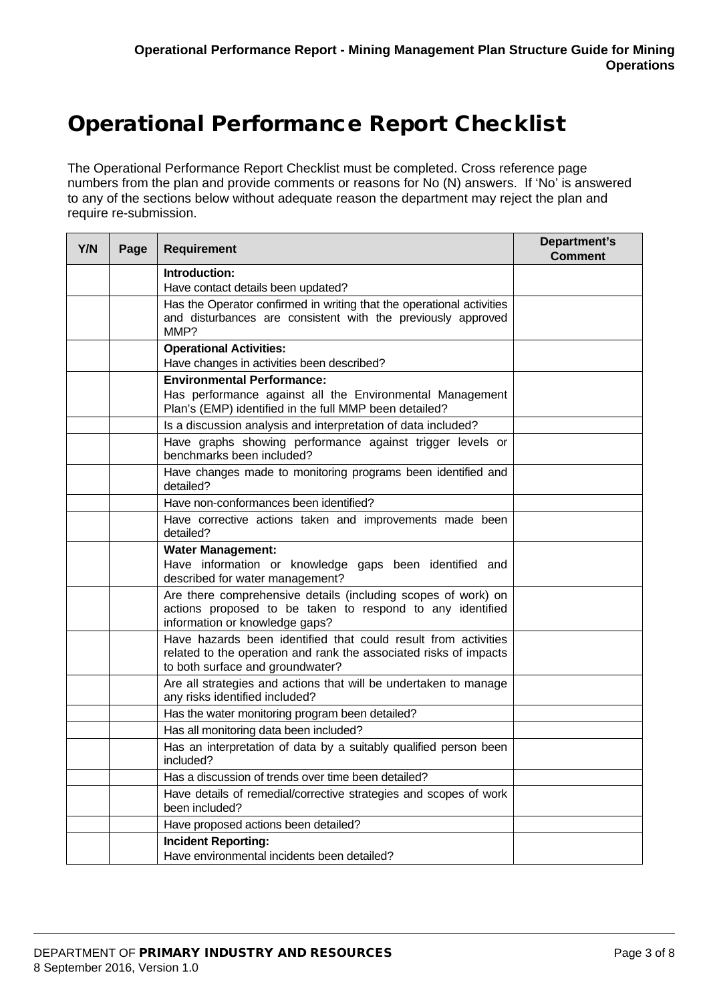# Operational Performance Report Checklist

The Operational Performance Report Checklist must be completed. Cross reference page numbers from the plan and provide comments or reasons for No (N) answers. If 'No' is answered to any of the sections below without adequate reason the department may reject the plan and require re-submission.

| Y/N | Page | <b>Requirement</b>                                                                                                                                                      | Department's<br><b>Comment</b> |
|-----|------|-------------------------------------------------------------------------------------------------------------------------------------------------------------------------|--------------------------------|
|     |      | Introduction:                                                                                                                                                           |                                |
|     |      | Have contact details been updated?                                                                                                                                      |                                |
|     |      | Has the Operator confirmed in writing that the operational activities<br>and disturbances are consistent with the previously approved<br>MMP?                           |                                |
|     |      | <b>Operational Activities:</b><br>Have changes in activities been described?                                                                                            |                                |
|     |      | <b>Environmental Performance:</b><br>Has performance against all the Environmental Management<br>Plan's (EMP) identified in the full MMP been detailed?                 |                                |
|     |      | Is a discussion analysis and interpretation of data included?                                                                                                           |                                |
|     |      | Have graphs showing performance against trigger levels or<br>benchmarks been included?                                                                                  |                                |
|     |      | Have changes made to monitoring programs been identified and<br>detailed?                                                                                               |                                |
|     |      | Have non-conformances been identified?                                                                                                                                  |                                |
|     |      | Have corrective actions taken and improvements made been<br>detailed?                                                                                                   |                                |
|     |      | <b>Water Management:</b><br>Have information or knowledge gaps been identified and<br>described for water management?                                                   |                                |
|     |      | Are there comprehensive details (including scopes of work) on<br>actions proposed to be taken to respond to any identified<br>information or knowledge gaps?            |                                |
|     |      | Have hazards been identified that could result from activities<br>related to the operation and rank the associated risks of impacts<br>to both surface and groundwater? |                                |
|     |      | Are all strategies and actions that will be undertaken to manage<br>any risks identified included?                                                                      |                                |
|     |      | Has the water monitoring program been detailed?                                                                                                                         |                                |
|     |      | Has all monitoring data been included?                                                                                                                                  |                                |
|     |      | Has an interpretation of data by a suitably qualified person been<br>included?                                                                                          |                                |
|     |      | Has a discussion of trends over time been detailed?                                                                                                                     |                                |
|     |      | Have details of remedial/corrective strategies and scopes of work<br>been included?                                                                                     |                                |
|     |      | Have proposed actions been detailed?                                                                                                                                    |                                |
|     |      | <b>Incident Reporting:</b><br>Have environmental incidents been detailed?                                                                                               |                                |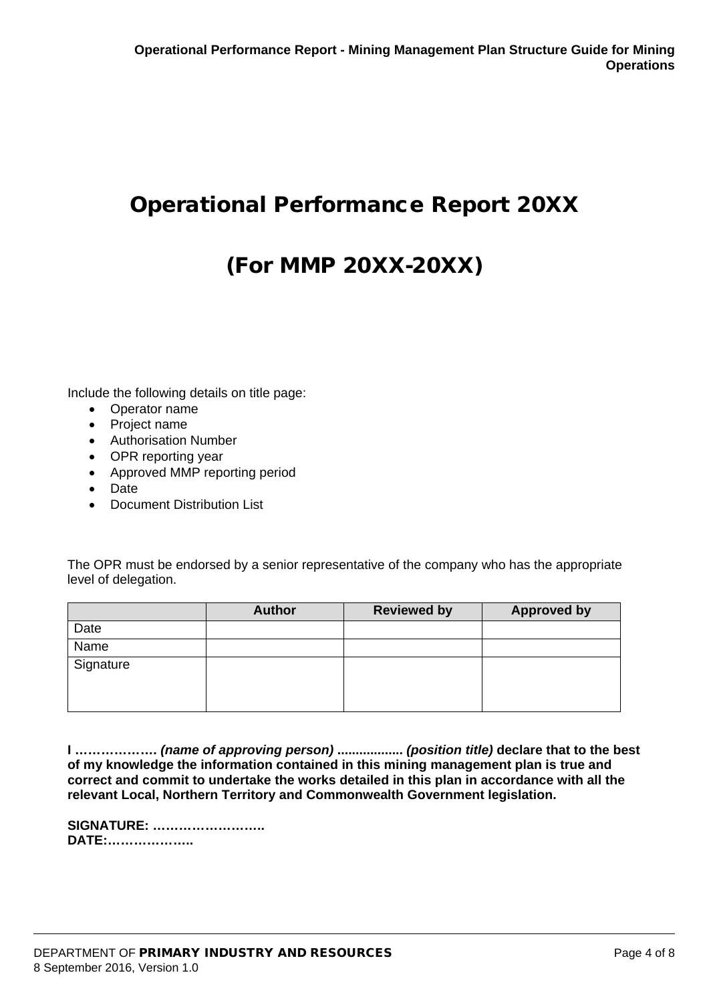# Operational Performance Report 20XX

# (For MMP 20XX-20XX)

Include the following details on title page:

- Operator name
- Project name
- Authorisation Number
- OPR reporting year
- Approved MMP reporting period
- Date
- Document Distribution List

The OPR must be endorsed by a senior representative of the company who has the appropriate level of delegation.

|           | <b>Author</b> | <b>Reviewed by</b> | <b>Approved by</b> |
|-----------|---------------|--------------------|--------------------|
| Date      |               |                    |                    |
| Name      |               |                    |                    |
| Signature |               |                    |                    |
|           |               |                    |                    |

**I ……………….** *(name of approving person)* **..................** *(position title)* **declare that to the best of my knowledge the information contained in this mining management plan is true and correct and commit to undertake the works detailed in this plan in accordance with all the relevant Local, Northern Territory and Commonwealth Government legislation.** 

| <b>SIGNATURE: </b> |  |
|--------------------|--|
| <b>DATE:</b>       |  |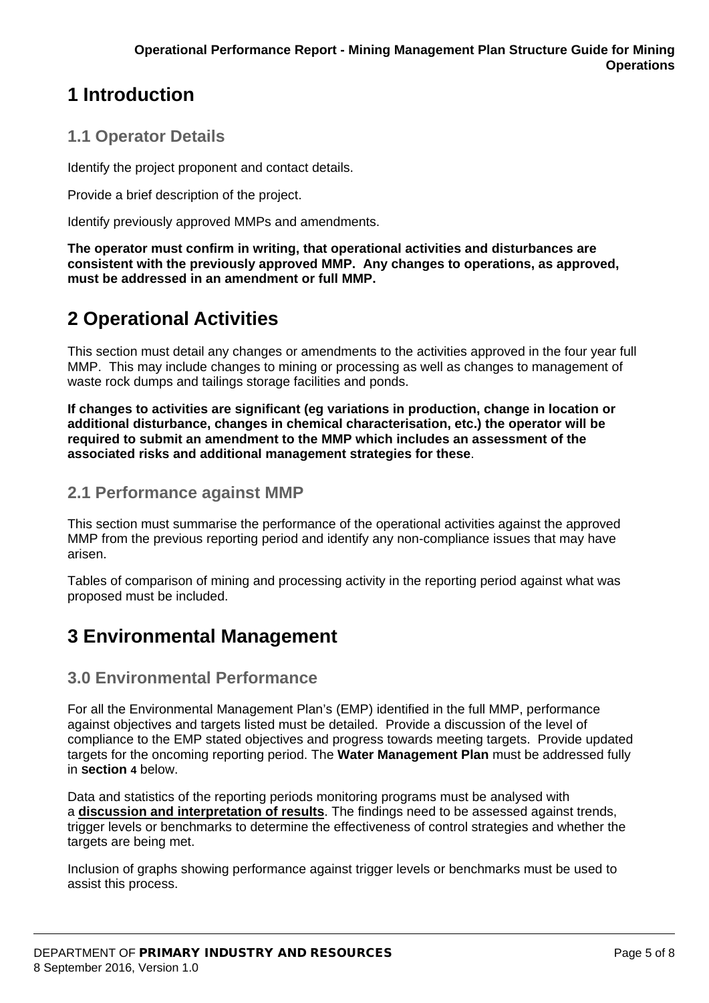# **1 Introduction**

### **1.1 Operator Details**

Identify the project proponent and contact details.

Provide a brief description of the project.

Identify previously approved MMPs and amendments.

**The operator must confirm in writing, that operational activities and disturbances are consistent with the previously approved MMP. Any changes to operations, as approved, must be addressed in an amendment or full MMP.**

# **2 Operational Activities**

This section must detail any changes or amendments to the activities approved in the four year full MMP. This may include changes to mining or processing as well as changes to management of waste rock dumps and tailings storage facilities and ponds.

**If changes to activities are significant (eg variations in production, change in location or additional disturbance, changes in chemical characterisation, etc.) the operator will be required to submit an amendment to the MMP which includes an assessment of the associated risks and additional management strategies for these**.

### **2.1 Performance against MMP**

This section must summarise the performance of the operational activities against the approved MMP from the previous reporting period and identify any non-compliance issues that may have arisen.

Tables of comparison of mining and processing activity in the reporting period against what was proposed must be included.

## **3 Environmental Management**

### **3.0 Environmental Performance**

For all the Environmental Management Plan's (EMP) identified in the full MMP, performance against objectives and targets listed must be detailed. Provide a discussion of the level of compliance to the EMP stated objectives and progress towards meeting targets. Provide updated targets for the oncoming reporting period. The **Water Management Plan** must be addressed fully in **Section 4** below.

Data and statistics of the reporting periods monitoring programs must be analysed with a **discussion and interpretation of results**. The findings need to be assessed against trends, trigger levels or benchmarks to determine the effectiveness of control strategies and whether the targets are being met.

Inclusion of graphs showing performance against trigger levels or benchmarks must be used to assist this process.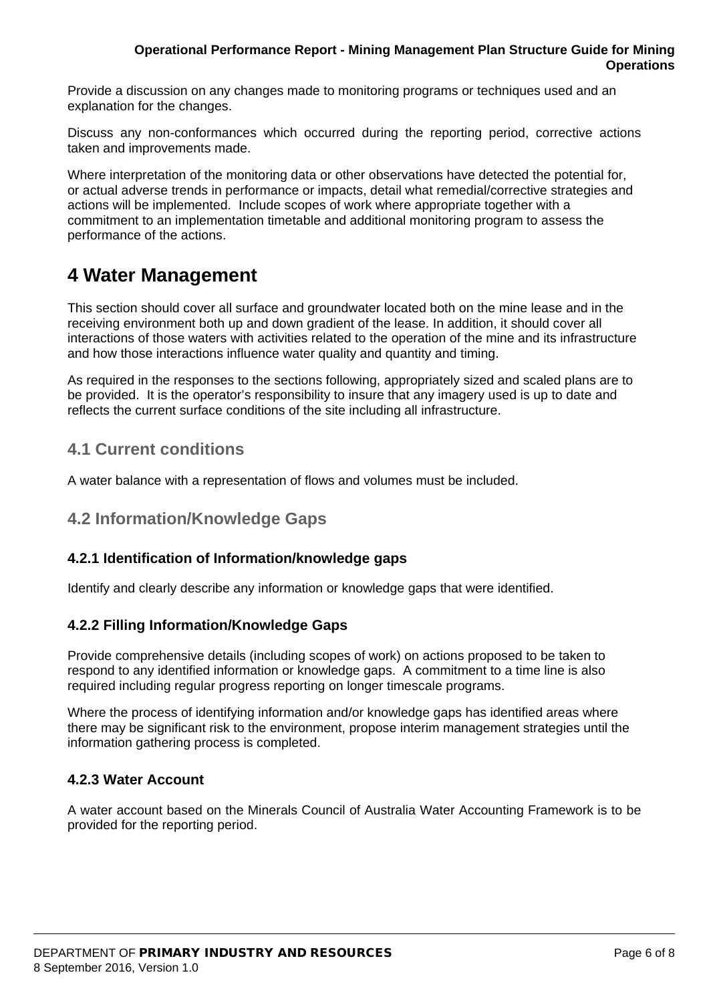#### **Operational Performance Report - Mining Management Plan Structure Guide for Mining Operations**

Provide a discussion on any changes made to monitoring programs or techniques used and an explanation for the changes.

Discuss any non-conformances which occurred during the reporting period, corrective actions taken and improvements made.

Where interpretation of the monitoring data or other observations have detected the potential for, or actual adverse trends in performance or impacts, detail what remedial/corrective strategies and actions will be implemented. Include scopes of work where appropriate together with a commitment to an implementation timetable and additional monitoring program to assess the performance of the actions.

## **4 Water Management**

This section should cover all surface and groundwater located both on the mine lease and in the receiving environment both up and down gradient of the lease. In addition, it should cover all interactions of those waters with activities related to the operation of the mine and its infrastructure and how those interactions influence water quality and quantity and timing.

As required in the responses to the sections following, appropriately sized and scaled plans are to be provided. It is the operator's responsibility to insure that any imagery used is up to date and reflects the current surface conditions of the site including all infrastructure.

### **4.1 Current conditions**

A water balance with a representation of flows and volumes must be included.

### **4.2 Information/Knowledge Gaps**

#### **4.2.1 Identification of Information/knowledge gaps**

Identify and clearly describe any information or knowledge gaps that were identified.

#### **4.2.2 Filling Information/Knowledge Gaps**

Provide comprehensive details (including scopes of work) on actions proposed to be taken to respond to any identified information or knowledge gaps. A commitment to a time line is also required including regular progress reporting on longer timescale programs.

Where the process of identifying information and/or knowledge gaps has identified areas where there may be significant risk to the environment, propose interim management strategies until the information gathering process is completed.

#### **4.2.3 Water Account**

A water account based on the Minerals Council of Australia Water Accounting Framework is to be provided for the reporting period.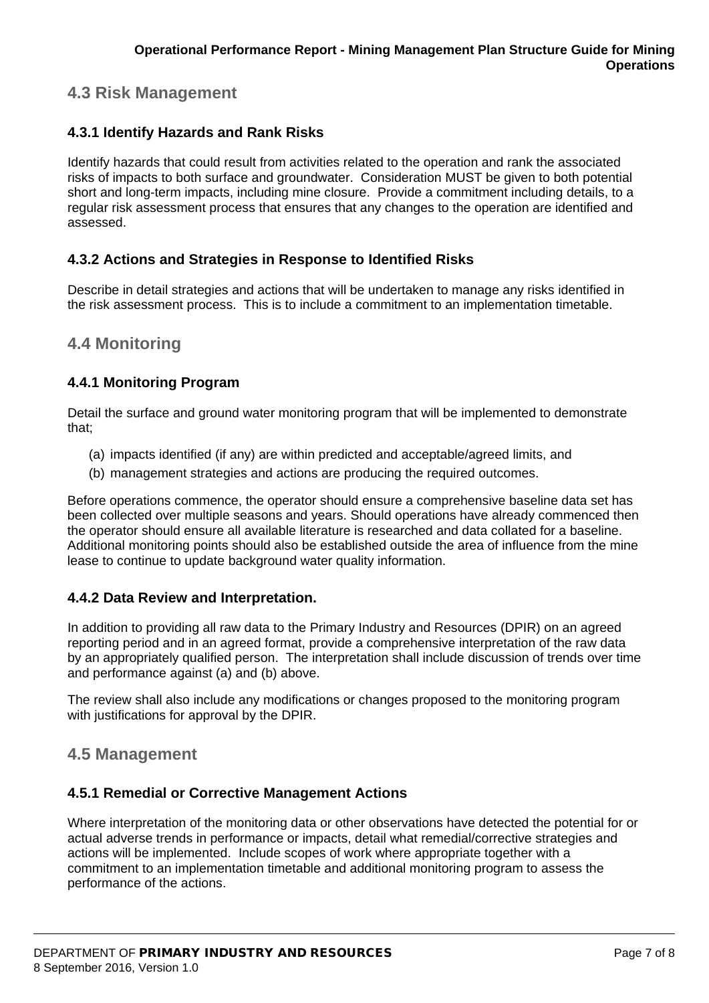## **4.3 Risk Management**

#### **4.3.1 Identify Hazards and Rank Risks**

Identify hazards that could result from activities related to the operation and rank the associated risks of impacts to both surface and groundwater. Consideration MUST be given to both potential short and long-term impacts, including mine closure. Provide a commitment including details, to a regular risk assessment process that ensures that any changes to the operation are identified and assessed.

#### **4.3.2 Actions and Strategies in Response to Identified Risks**

Describe in detail strategies and actions that will be undertaken to manage any risks identified in the risk assessment process. This is to include a commitment to an implementation timetable.

### **4.4 Monitoring**

#### **4.4.1 Monitoring Program**

Detail the surface and ground water monitoring program that will be implemented to demonstrate that;

- (a) impacts identified (if any) are within predicted and acceptable/agreed limits, and
- (b) management strategies and actions are producing the required outcomes.

Before operations commence, the operator should ensure a comprehensive baseline data set has been collected over multiple seasons and years. Should operations have already commenced then the operator should ensure all available literature is researched and data collated for a baseline. Additional monitoring points should also be established outside the area of influence from the mine lease to continue to update background water quality information.

#### **4.4.2 Data Review and Interpretation.**

In addition to providing all raw data to the Primary Industry and Resources (DPIR) on an agreed reporting period and in an agreed format, provide a comprehensive interpretation of the raw data by an appropriately qualified person. The interpretation shall include discussion of trends over time and performance against (a) and (b) above.

The review shall also include any modifications or changes proposed to the monitoring program with justifications for approval by the DPIR.

### **4.5 Management**

#### **4.5.1 Remedial or Corrective Management Actions**

Where interpretation of the monitoring data or other observations have detected the potential for or actual adverse trends in performance or impacts, detail what remedial/corrective strategies and actions will be implemented. Include scopes of work where appropriate together with a commitment to an implementation timetable and additional monitoring program to assess the performance of the actions.